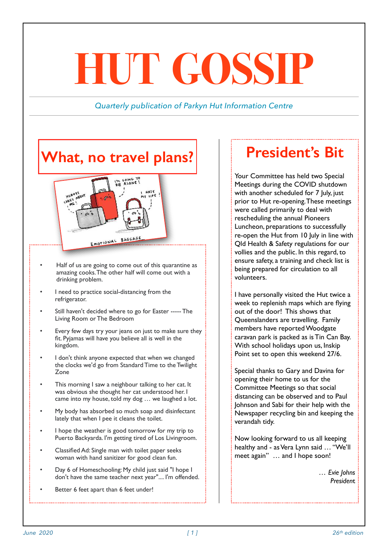# **HUT GOSSIP**

#### *Quarterly publication of Parkyn Hut Information Centre*

# **What, no travel plans?**



- Half of us are going to come out of this quarantine as amazing cooks. The other half will come out with a drinking problem.
- I need to practice social-distancing from the refrigerator.
- Still haven't decided where to go for Easter ----- The Living Room or The Bedroom
- Every few days try your jeans on just to make sure they fit. Pyjamas will have you believe all is well in the kingdom.
- I don't think anyone expected that when we changed the clocks we'd go from Standard Time to the Twilight Zone
- This morning I saw a neighbour talking to her cat. It was obvious she thought her cat understood her. I came into my house, told my dog … we laughed a lot.
- My body has absorbed so much soap and disinfectant lately that when I pee it cleans the toilet.
- I hope the weather is good tomorrow for my trip to Puerto Backyarda. I'm getting tired of Los Livingroom.
- Classified Ad: Single man with toilet paper seeks woman with hand sanitizer for good clean fun.
- Day 6 of Homeschooling: My child just said "I hope I don't have the same teacher next year".... I'm offended.
- Better 6 feet apart than 6 feet under!

## **President's Bit**

Your Committee has held two Special Meetings during the COVID shutdown with another scheduled for 7 July, just prior to Hut re-opening. These meetings were called primarily to deal with rescheduling the annual Pioneers Luncheon, preparations to successfully re-open the Hut from 10 July in line with Qld Health & Safety regulations for our vollies and the public. In this regard, to ensure safety, a training and check list is being prepared for circulation to all volunteers.

I have personally visited the Hut twice a week to replenish maps which are flying out of the door! This shows that Queenslanders are travelling. Family members have reported Woodgate caravan park is packed as is Tin Can Bay. With school holidays upon us, Inskip Point set to open this weekend 27/6.

Special thanks to Gary and Davina for opening their home to us for the Committee Meetings so that social distancing can be observed and to Paul Johnson and Sabi for their help with the Newspaper recycling bin and keeping the verandah tidy.

Now looking forward to us all keeping healthy and - as Vera Lynn said … "We'll meet again" … and I hope soon!

> *… Evie Johns Presiden*t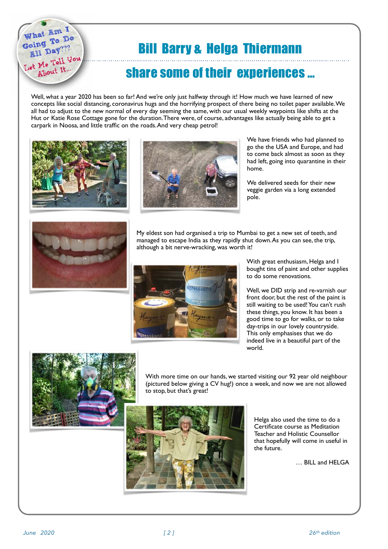# Bill Barry & Helga Thiermann

### share some of their experiences …

Well, what a year 2020 has been so far! And we're only just halfway through it! How much we have learned of new concepts like social distancing, coronavirus hugs and the horrifying prospect of there being no toilet paper available. We all had to adjust to the new normal of every day seeming the same, with our usual weekly waypoints like shifts at the Hut or Katie Rose Cottage gone for the duration. There were, of course, advantages like actually being able to get a carpark in Noosa, and little traffic on the roads. And very cheap petrol!



hat Am I What Am Do aing<br>**All** Day??? Let Me Tell You About It.



We have friends who had planned to go the the USA and Europe, and had to come back almost as soon as they had left, going into quarantine in their home.

We delivered seeds for their new veggie garden via a long extended pole.



My eldest son had organised a trip to Mumbai to get a new set of teeth, and managed to escape India as they rapidly shut down. As you can see, the trip, although a bit nerve-wracking, was worth it!



With great enthusiasm, Helga and I bought tins of paint and other supplies to do some renovations.

Well, we DID strip and re-varnish our front door, but the rest of the paint is still waiting to be used! You can't rush these things, you know. It has been a good time to go for walks, or to take day-trips in our lovely countryside. This only emphasises that we do indeed live in a beautiful part of the world.



With more time on our hands, we started visiting our 92 year old neighbour (pictured below giving a CV hug!) once a week, and now we are not allowed to stop, but that's great!



Helga also used the time to do a Certificate course as Meditation Teacher and Holistic Counsellor that hopefully will come in useful in the future.

… BILL and HELGA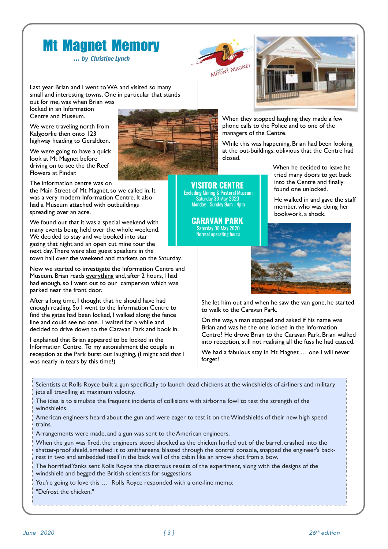# Mt Magnet Memory

**…** *by Christine Lynch*

MOUNT MAGNET

*VISITOR CENTRE* 

Excluding Mining & Pastoral Museum<br>Saturday 30 May 2020<br>Monday - Sunday 9am - 4pm

**CARAVAN PARK** Saturday 30 May 2020 **Normal operating hours** 

Last year Brian and I went to WA and visited so many small and interesting towns. One in particular that stands out for me, was when Brian was

locked in an Information Centre and Museum.

We were traveling north from Kalgoorlie then onto 123 highway heading to Geraldton.

We were going to have a quick look at Mt Magnet before driving on to see the the Reef Flowers at Pindar.

The information centre was on

the Main Street of Mt Magnet, so we called in. It was a very modern Information Centre. It also had a Museum attached with outbuildings spreading over an acre.

We found out that it was a special weekend with many events being held over the whole weekend. We decided to stay and we booked into star gazing that night and an open cut mine tour the next day. There were also guest speakers in the town hall over the weekend and markets on the Saturday.

Now we started to investigate the Information Centre and Museum. Brian reads everything and, after 2 hours, I had had enough, so I went out to our campervan which was parked near the front door.

After a long time, I thought that he should have had enough reading. So I went to the Information Centre to find the gates had been locked, I walked along the fence line and could see no one. I waited for a while and decided to drive down to the Caravan Park and book in.

I explained that Brian appeared to be locked in the Information Centre. To my astonishment the couple in reception at the Park burst out laughing, (I might add that I was nearly in tears by this time!)



When they stopped laughing they made a few phone calls to the Police and to one of the managers of the Centre.

While this was happening, Brian had been looking at the out-buildings, oblivious that the Centre had closed.

> When he decided to leave he tried many doors to get back into the Centre and finally found one unlocked.

He walked in and gave the staff member, who was doing her bookwork, a shock.



She let him out and when he saw the van gone, he started to walk to the Caravan Park.

On the way, a man stopped and asked if his name was Brian and was he the one locked in the Information Centre? He drove Brian to the Caravan Park. Brian walked into reception, still not realising all the fuss he had caused.

We had a fabulous stay in Mt Magnet ... one I will never forget!

Scientists at Rolls Royce built a gun specifically to launch dead chickens at the windshields of airliners and military jets all travelling at maximum velocity.

The idea is to simulate the frequent incidents of collisions with airborne fowl to test the strength of the windshields.

American engineers heard about the gun and were eager to test it on the Windshields of their new high speed trains.

Arrangements were made, and a gun was sent to the American engineers.

When the gun was fired, the engineers stood shocked as the chicken hurled out of the barrel, crashed into the shatter-proof shield, smashed it to smithereens, blasted through the control console, snapped the engineer's backrest in two and embedded itself in the back wall of the cabin like an arrow shot from a bow.

The horrified Yanks sent Rolls Royce the disastrous results of the experiment, along with the designs of the windshield and begged the British scientists for suggestions.

You're going to love this … Rolls Royce responded with a one-line memo:

"Defrost the chicken."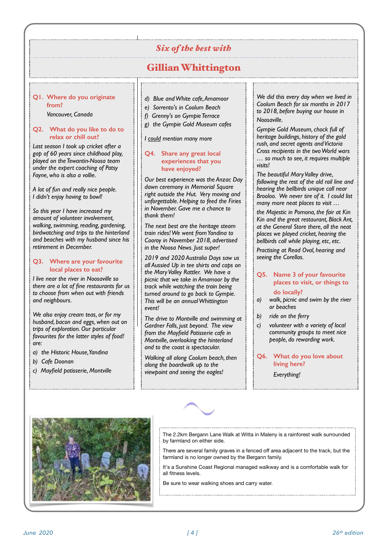#### *Six of the best with*

#### Gillian Whittington

#### **Q1. Where do you originate from?**

*Vancouver, Canada*

#### **Q2. What do you like to do to relax or chill out?**

*Last season I took up cricket after a gap of 60 years since childhood play, played on the Tewantin-Noosa team under the expert coaching of Patsy Fayne, who is also a vollie.* 

*A lot of fun and really nice people. I didn't enjoy having to bowl!* 

*So this year I have increased my amount of volunteer involvement, walking, swimming, reading, gardening, birdwatching and trips to the hinterland and beaches with my husband since his retirement in December.*

#### **Q3. Where are your favourite local places to eat?**

*I live near the river in Noosaville so there are a lot of fine restaurants for us to choose from when out with friends and neighbours.* 

*We also enjoy cream teas, or for my husband, bacon and eggs, when out on trips of exploration. Our particular favourites for the latter styles of food! are:*

- *a) the Historic House, Yandina*
- *b) Cafe Doonan*
- *c) Mayfield patisserie, Montville*
- *d) Blue and White cafe, Amamoor*
- *e) Sorrento's in Coolum Beach*

- *f) Grenny's on Gympie Terrace*
- *g) the Gympie Gold Museum cafes*

*I could mention many more*

#### **Q4. Share any great local experiences that you have enjoyed?**

*Our best experience was the Anzac Day dawn ceremony in Memorial Square right outside the Hut. Very moving and unforgettable. Helping to feed the Firies in November. Gave me a chance to thank them!*

*The next best are the heritage steam train rides! We went from Yandina to Cooroy in November 2018, advertised in the Noosa News. Just super!* 

*2019 and 2020 Australia Days saw us all Aussied Up in tee shirts and caps on the Mary Valley Rattler. We have a picnic that we take in Amamoor by the track while watching the train being turned around to go back to Gympie. This will be an annual Whittington event!*

*The drive to Montville and swimming at Gardner Falls, just beyond. The view from the Mayfield Patisserie cafe in Montville, overlooking the hinterland and to the coast is spectacular.*

*Walking all along Coolum beach, then along the boardwalk up to the viewpoint and seeing the eagles!*

*We did this every day when we lived in Coolum Beach for six months in 2017 to 2018, before buying our house in Noosaville.*

*Gympie Gold Museum, chock full of heritage buildings, history of the gold rush, and secret agents and Victoria Cross recipients in the two World wars … so much to see, it requires multiple visits!*

*The beautiful Mary Valley drive, following the rest of the old rail line and hearing the bellbirds unique call near Brooloo. We never tire of it. I could list many more neat places to visit …* 

*the Majestic in Pomona, the fair at Kin Kin and the great restaurant, Black Ant, at the General Store there, all the neat places we played cricket, hearing the bellbirds call while playing, etc, etc.* 

*Practising at Read Oval, hearing and seeing the Corellas.*

#### **Q5. Name 3 of your favourite places to visit, or things to do locally?**

- *a) walk, picnic and swim by the river or beaches*
- *b) ride on the ferry*
- *c) volunteer with a variety of local community groups to meet nice people, do rewarding work.*

#### **Q6. What do you love about living here?**

*Everything!*



The 2.2km Bergann Lane Walk at Witta in Maleny is a rainforest walk surrounded by farmland on either side.

There are several family graves in a fenced off area adjacent to the track, but the farmland is no longer owned by the Bergann family.

It's a Sunshine Coast Regional managed walkway and is a comfortable walk for all fitness levels.

Be sure to wear walking shoes and carry water.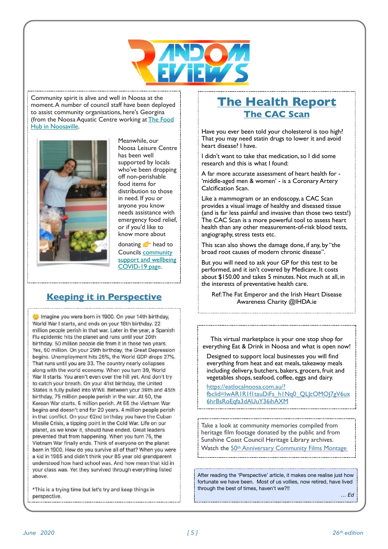

Community spirit is alive and well in Noosa at the moment. A number of council staff have been deployed to assist community organisations, here's Georgina (from the Noosa Aquatic Centre working at [The Food](https://qld.us8.list-manage.com/track/click?u=3940e3067b06b08ef8fb74691&id=704212f12b&e=1554630bf1)  [Hub in Noosaville](https://qld.us8.list-manage.com/track/click?u=3940e3067b06b08ef8fb74691&id=704212f12b&e=1554630bf1).



Meanwhile, our Noosa Leisure Centre has been well supported by locals who've been dropping off non-perishable food items for distribution to those in need. If you or anyone you know needs assistance with emergency food relief, or if you'd like to know more about

donating **head** to Councils [community](https://qld.us8.list-manage.com/track/click?u=3940e3067b06b08ef8fb74691&id=c8551ae974&e=1554630bf1)  [support and wellbeing](https://qld.us8.list-manage.com/track/click?u=3940e3067b06b08ef8fb74691&id=c8551ae974&e=1554630bf1)  [COVID-19 page](https://qld.us8.list-manage.com/track/click?u=3940e3067b06b08ef8fb74691&id=c8551ae974&e=1554630bf1).

#### **Keeping it in Perspective**

Imagine you were born in 1900. On your 14th birthday, World War I starts, and ends on your 18th birthday. 22 million people perish in that war. Later in the year, a Spanish Flu epidemic hits the planet and runs until your 20th birthday. 50 million people die from it in those two years. Yes, 50 million. On your 29th birthday, the Great Depression begins. Unemployment hits 25%, the World GDP drops 27%. That runs until you are 33. The country nearly collapses along with the world economy. When you turn 39, World War II starts. You aren't even over the hill yet. And don't try to catch your breath. On your 41st birthday, the United States is fully pulled into WWII. Between your 39th and 45th birthday, 75 million people perish in the war. At 50, the Korean War starts. 5 million perish. At 55 the Vietnam War begins and doesn't end for 20 years. 4 million people perish in that conflict. On your 62nd birthday you have the Cuban Missile Crisis, a tipping point in the Cold War. Life on our planet, as we know it, should have ended. Great leaders prevented that from happening. When you turn 75, the Vietnam War finally ends. Think of everyone on the planet born in 1900. How do you survive all of that? When you were a kid in 1985 and didn't think your 85 year old grandparent understood how hard school was. And how mean that kid in your class was. Yet they survived through everything listed above.

\*This is a trying time but let's try and keep things in perspective.

#### **The Health Report The CAC Scan**

Have you ever been told your cholesterol is too high? That you may need statin drugs to lower it and avoid heart disease? I have.

I didn't want to take that medication, so I did some research and this is what I found:

A far more accurate assessment of heart health for - 'middle-aged men & women' - is a Coronary Artery Calcification Scan.

Like a mammogram or an endoscopy, a CAC Scan provides a visual image of healthy and diseased tissue (and is far less painful and invasive than those two tests!) The CAC Scan is a more powerful tool to assess heart health than any other measurement-of-risk blood tests, angiography, stress tests etc.

This scan also shows the damage done, if any, by "the broad root causes of modern chronic disease".

But you will need to ask your GP for this test to be performed, and it isn't covered by Medicare. It costs about \$150.00 and takes 5 minutes. Not much at all, in the interests of preventative health care.

Ref: The Fat Emperor and the Irish Heart Disease Awareness Charity @IHDA.ie

This virtual marketplace is your one stop shop for everything Eat & Drink in Noosa and what is open now!

Designed to support local businesses you will find everything from heat and eat meals, takeaway meals including delivery, butchers, bakers, grocers, fruit and vegetables shops, seafood, coffee, eggs and dairy.

[https://eatlocalnoosa.com.au/?](https://eatlocalnoosa.com.au/?fbclid=IwAR1R1f1tauDiFs_h1Nq0_QLJcOMOJ7gV6ux6hrBsRoEqfa3dAUuY36ihAXM) [fbclid=IwAR1R1f1tauDiFs\\_h1Nq0\\_QLJcOMOJ7gV6ux](https://eatlocalnoosa.com.au/?fbclid=IwAR1R1f1tauDiFs_h1Nq0_QLJcOMOJ7gV6ux6hrBsRoEqfa3dAUuY36ihAXM) [6hrBsRoEqfa3dAUuY36ihAXM](https://eatlocalnoosa.com.au/?fbclid=IwAR1R1f1tauDiFs_h1Nq0_QLJcOMOJ7gV6ux6hrBsRoEqfa3dAUuY36ihAXM)

Take a look at community memories compiled from heritage film footage donated by the public and from Sunshine Coast Council Heritage Library archives. Watch the [50](https://qld.us12.list-manage.com/track/click?u=fb9a5c6ff4e62e843f41c7664&id=e4a337b9c2&e=37fe5e26d6)[th](https://qld.us12.list-manage.com/track/click?u=fb9a5c6ff4e62e843f41c7664&id=eff570f37c&e=37fe5e26d6) [Anniversary Community Films Montage](https://qld.us12.list-manage.com/track/click?u=fb9a5c6ff4e62e843f41c7664&id=89462d87e5&e=37fe5e26d6)

After reading the 'Perspective' article, it makes one realise just how fortunate we have been. Most of us vollies, now retired, have lived through the best of times, haven't we?!!

*… Ed*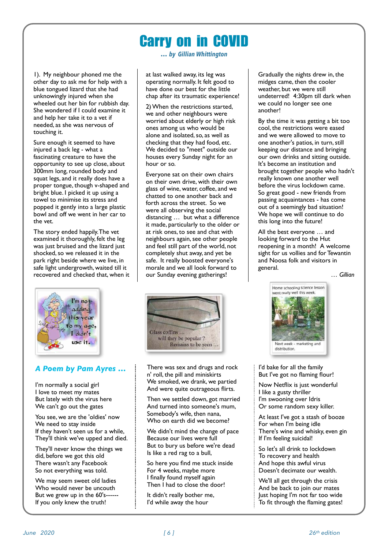# Carry on in COVID

**…** *by Gillian Whittington*

1). My neighbour phoned me the other day to ask me for help with a blue tongued lizard that she had unknowingly injured when she wheeled out her bin for rubbish day. She wondered if I could examine it and help her take it to a vet if needed, as she was nervous of touching it.

Sure enough it seemed to have injured a back leg - what a fascinating creature to have the opportunity to see up close, about 300mm long, rounded body and squat legs, and it really does have a proper tongue, though v-shaped and bright blue. I picked it up using a towel to minimise its stress and popped it gently into a large plastic bowl and off we went in her car to the vet.

The story ended happily. The vet examined it thoroughly, felt the leg was just bruised and the lizard just shocked, so we released it in the park right beside where we live, in safe light undergrowth, waited till it recovered and checked that, when it



#### *A Poem by Pam Ayres …*

I'm normally a social girl I love to meet my mates But lately with the virus here We can't go out the gates

You see, we are the 'oldies' now We need to stay inside If they haven't seen us for a while, They'll think we've upped and died.

They'll never know the things we did, before we got this old There wasn't any Facebook So not everything was told.

We may seem sweet old ladies Who would never be uncouth But we grew up in the 60's------ If you only knew the truth!

at last walked away, its leg was operating normally. It felt good to have done our best for the little chap after its traumatic experience!

2) When the restrictions started, we and other neighbours were worried about elderly or high risk ones among us who would be alone and isolated, so, as well as checking that they had food, etc. We decided to "meet" outside our houses every Sunday night for an hour or so.

Everyone sat on their own chairs on their own drive, with their own glass of wine, water, coffee, and we chatted to one another back and forth across the street. So we were all observing the social distancing … but what a difference it made, particularly to the older or at risk ones, to see and chat with neighbours again, see other people and feel still part of the world, not completely shut away, and yet be safe. It really boosted everyone's morale and we all look forward to our Sunday evening gatherings!



There was sex and drugs and rock n' roll, the pill and miniskirts We smoked, we drank, we partied And were quite outrageous flirts.

Then we settled down, got married And turned into someone's mum, Somebody's wife, then nana, Who on earth did we become?

We didn't mind the change of pace Because our lives were full But to bury us before we're dead Is like a red rag to a bull,

So here you find me stuck inside For 4 weeks, maybe more I finally found myself again Then I had to close the door!

It didn't really bother me, I'd while away the hour

Gradually the nights drew in, the midges came, then the cooler weather, but we were still undeterred! 4:30pm till dark when we could no longer see one another!

By the time it was getting a bit too cool, the restrictions were eased and we were allowed to move to one another's patios, in turn, still keeping our distance and bringing our own drinks and sitting outside. It's become an institution and brought together people who hadn't really known one another well before the virus lockdown came. So great good - new friends from passing acquaintances - has come out of a seemingly bad situation! We hope we will continue to do this long into the future!

All the best everyone … and looking forward to the Hut reopening in a month! A welcome sight for us vollies and for Tewantin and Noosa folk and visitors in general.

*… Gillian*



I'd bake for all the family But I've got no flaming flour!

Now Netflix is just wonderful I like a gusty thriller I'm swooning over Idris Or some random sexy killer.

At least I've got a stash of booze For when I'm being idle There's wine and whisky, even gin If I'm feeling suicidal!

So let's all drink to lockdown To recovery and health And hope this awful virus Doesn't decimate our wealth.

We'll all get through the crisis And be back to join our mates Just hoping I'm not far too wide To fit through the flaming gates!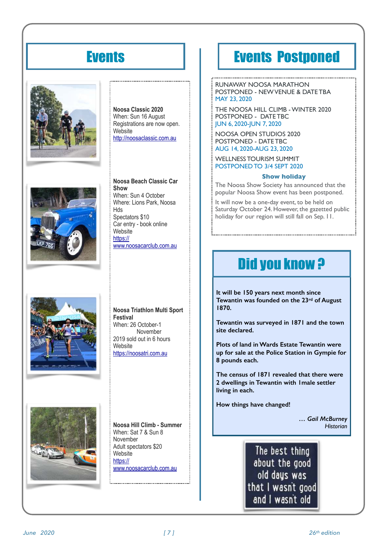# **Events**







**Noosa Classic 2020**  When: Sun 16 August Registrations are now open. **Website** http://noosaclassic.com.au

**Noosa Beach Classic Car Show**  When: Sun 4 October Where: Lions Park, Noosa Hds Spectators \$10 Car entry - book online Website<sup>1</sup> https:// www.noosacarclub.com.au

#### **Noosa Triathlon Multi Sport Festival**  When: 26 October-1 November

2019 sold out in 6 hours **Website** https://noosatri.com.au



**Noosa Hill Climb - Summer**  When: Sat 7 & Sun 8 November Adult spectators \$20 **Website** https:// www.noosacarclub.com.au

# Events Postponed

RUNAWAY NOOSA MARATHON POSTPONED - NEW VENUE & DATE TBA MAY 23, 2020

THE NOOSA HILL CLIMB - WINTER 2020 POSTPONED - DATE TBC JUN 6, 2020-JUN 7, 2020

NOOSA OPEN STUDIOS 2020 POSTPONED - DATE TBC AUG 14, 2020-AUG 23, 2020

WELLNESS TOURISM SUMMIT POSTPONED TO 3/4 SEPT 2020

#### **Show holiday**

The Noosa Show Society has announced that the popular Noosa Show event has been postponed.

It will now be a one-day event, to be held on Saturday October 24. However, the gazetted public holiday for our region will still fall on Sep. 11.

# Did you know ?

**It will be 150 years next month since Tewantin was founded on the 23rd of August 1870.** 

**Tewantin was surveyed in 1871 and the town site declared.** 

**Plots of land in Wards Estate Tewantin were up for sale at the Police Station in Gympie for 8 pounds each.** 

**The census of 1871 revealed that there were 2 dwellings in Tewantin with 1male settler living in each.** 

**How things have changed!** 

*… Gail McBurney Historian*

The best thing about the good old days was that I wasn't good and I wasn't old

*June 2020 [ ] 26th 7 edition*